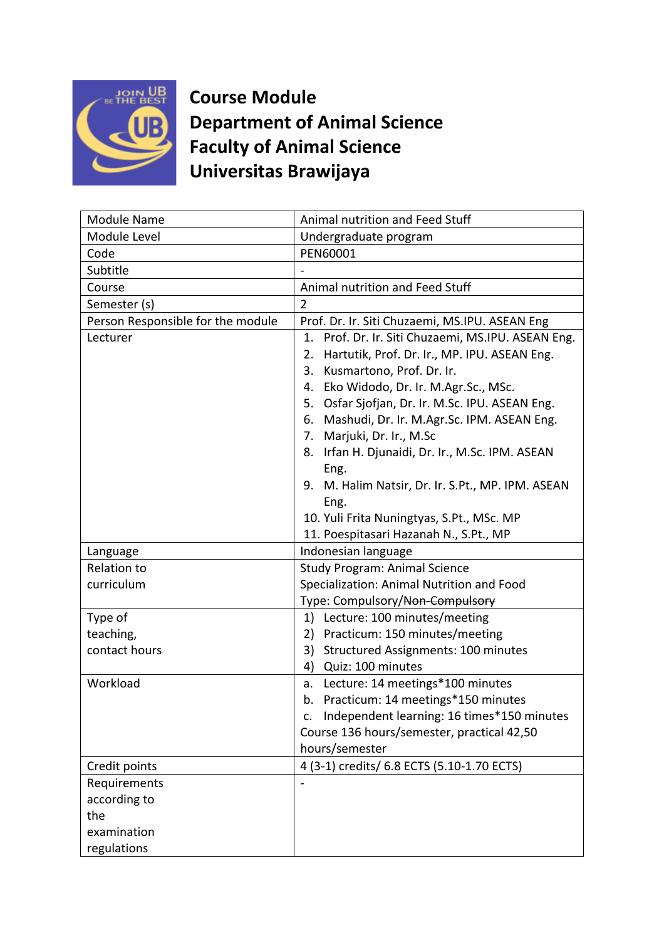

**Course Module Department of Animal Science Faculty of Animal Science Universitas Brawijaya**

| <b>Module Name</b>                | Animal nutrition and Feed Stuff                       |
|-----------------------------------|-------------------------------------------------------|
| Module Level                      | Undergraduate program                                 |
| Code                              | PEN60001                                              |
| Subtitle                          |                                                       |
| Course                            | Animal nutrition and Feed Stuff                       |
| Semester (s)                      | $\overline{2}$                                        |
| Person Responsible for the module | Prof. Dr. Ir. Siti Chuzaemi, MS.IPU. ASEAN Eng        |
| Lecturer                          | Prof. Dr. Ir. Siti Chuzaemi, MS.IPU. ASEAN Eng.<br>1. |
|                                   | Hartutik, Prof. Dr. Ir., MP. IPU. ASEAN Eng.<br>2.    |
|                                   | Kusmartono, Prof. Dr. Ir.<br>3.                       |
|                                   | Eko Widodo, Dr. Ir. M.Agr.Sc., MSc.<br>4.             |
|                                   | Osfar Sjofjan, Dr. Ir. M.Sc. IPU. ASEAN Eng.<br>5.    |
|                                   | 6.<br>Mashudi, Dr. Ir. M.Agr.Sc. IPM. ASEAN Eng.      |
|                                   | Marjuki, Dr. Ir., M.Sc<br>7.                          |
|                                   | Irfan H. Djunaidi, Dr. Ir., M.Sc. IPM. ASEAN<br>8.    |
|                                   | Eng.                                                  |
|                                   | M. Halim Natsir, Dr. Ir. S.Pt., MP. IPM. ASEAN<br>9.  |
|                                   | Eng.                                                  |
|                                   | 10. Yuli Frita Nuningtyas, S.Pt., MSc. MP             |
|                                   | 11. Poespitasari Hazanah N., S.Pt., MP                |
| Language                          | Indonesian language                                   |
| <b>Relation to</b>                | <b>Study Program: Animal Science</b>                  |
| curriculum                        | Specialization: Animal Nutrition and Food             |
|                                   | Type: Compulsory/Non-Compulsory                       |
| Type of                           | Lecture: 100 minutes/meeting<br>1)                    |
| teaching,                         | Practicum: 150 minutes/meeting<br>2)                  |
| contact hours                     | 3)<br>Structured Assignments: 100 minutes             |
|                                   | Quiz: 100 minutes<br>4)                               |
| Workload                          | Lecture: 14 meetings*100 minutes<br>a.                |
|                                   | Practicum: 14 meetings*150 minutes<br>b.              |
|                                   | Independent learning: 16 times*150 minutes<br>c.      |
|                                   | Course 136 hours/semester, practical 42,50            |
|                                   | hours/semester                                        |
| Credit points                     | 4 (3-1) credits/ 6.8 ECTS (5.10-1.70 ECTS)            |
| Requirements                      |                                                       |
| according to                      |                                                       |
| the                               |                                                       |
| examination                       |                                                       |
| regulations                       |                                                       |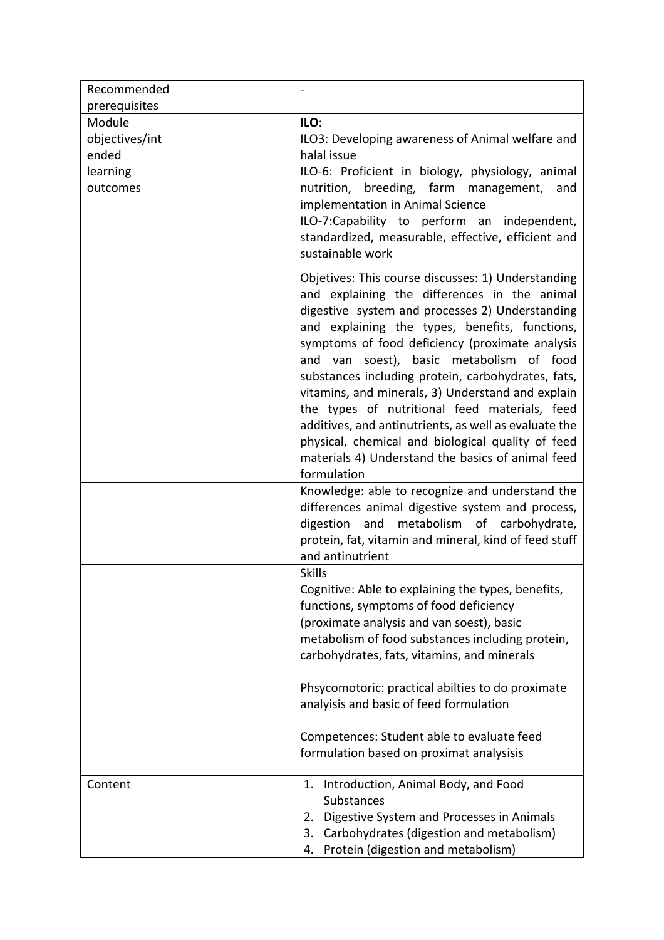| Recommended                                               |                                                                                                                                                                                                                                                                                                                                                                                                                                                                                                                                                                                                                                                      |
|-----------------------------------------------------------|------------------------------------------------------------------------------------------------------------------------------------------------------------------------------------------------------------------------------------------------------------------------------------------------------------------------------------------------------------------------------------------------------------------------------------------------------------------------------------------------------------------------------------------------------------------------------------------------------------------------------------------------------|
| prerequisites                                             |                                                                                                                                                                                                                                                                                                                                                                                                                                                                                                                                                                                                                                                      |
| Module<br>objectives/int<br>ended<br>learning<br>outcomes | ILO:<br>ILO3: Developing awareness of Animal welfare and<br>halal issue<br>ILO-6: Proficient in biology, physiology, animal<br>breeding, farm management,<br>nutrition,<br>and<br>implementation in Animal Science<br>ILO-7:Capability to perform an independent,<br>standardized, measurable, effective, efficient and<br>sustainable work                                                                                                                                                                                                                                                                                                          |
|                                                           | Objetives: This course discusses: 1) Understanding<br>and explaining the differences in the animal<br>digestive system and processes 2) Understanding<br>and explaining the types, benefits, functions,<br>symptoms of food deficiency (proximate analysis<br>and van soest), basic metabolism of food<br>substances including protein, carbohydrates, fats,<br>vitamins, and minerals, 3) Understand and explain<br>the types of nutritional feed materials, feed<br>additives, and antinutrients, as well as evaluate the<br>physical, chemical and biological quality of feed<br>materials 4) Understand the basics of animal feed<br>formulation |
|                                                           | Knowledge: able to recognize and understand the<br>differences animal digestive system and process,<br>digestion and metabolism of carbohydrate,<br>protein, fat, vitamin and mineral, kind of feed stuff<br>and antinutrient                                                                                                                                                                                                                                                                                                                                                                                                                        |
|                                                           | <b>Skills</b><br>Cognitive: Able to explaining the types, benefits,<br>functions, symptoms of food deficiency<br>(proximate analysis and van soest), basic<br>metabolism of food substances including protein,<br>carbohydrates, fats, vitamins, and minerals<br>Phsycomotoric: practical abilties to do proximate<br>analyisis and basic of feed formulation                                                                                                                                                                                                                                                                                        |
|                                                           | Competences: Student able to evaluate feed<br>formulation based on proximat analysisis                                                                                                                                                                                                                                                                                                                                                                                                                                                                                                                                                               |
| Content                                                   | Introduction, Animal Body, and Food<br>1.<br>Substances<br>Digestive System and Processes in Animals<br>2.<br>Carbohydrates (digestion and metabolism)<br>3.<br>Protein (digestion and metabolism)<br>4.                                                                                                                                                                                                                                                                                                                                                                                                                                             |